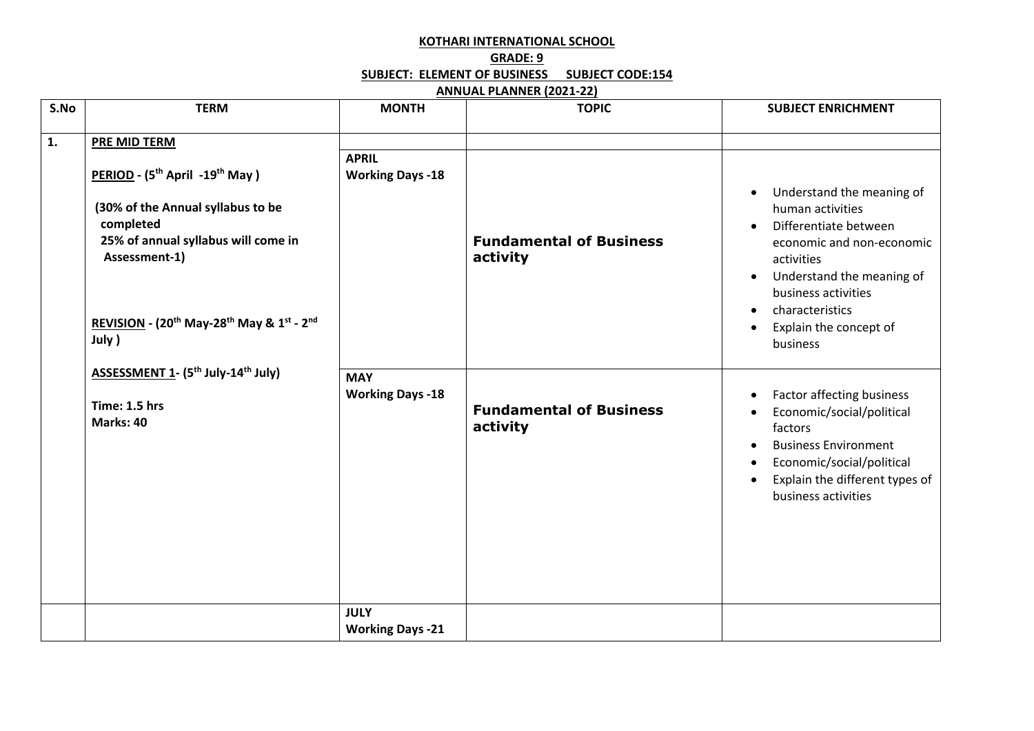## **KOTHARI INTERNATIONAL SCHOOL GRADE: 9 SUBJECT: ELEMENT OF BUSINESS SUBJECT CODE:154**

## **ANNUAL PLANNER (2021-22)**

| S.No | <b>TERM</b>                                                                                                                                                                                                                                                                                                                                                                    | <b>MONTH</b>                            | <b>TOPIC</b>                               | <b>SUBJECT ENRICHMENT</b>                                                                                                                                                                                                                                                          |
|------|--------------------------------------------------------------------------------------------------------------------------------------------------------------------------------------------------------------------------------------------------------------------------------------------------------------------------------------------------------------------------------|-----------------------------------------|--------------------------------------------|------------------------------------------------------------------------------------------------------------------------------------------------------------------------------------------------------------------------------------------------------------------------------------|
| 1.   | <b>PRE MID TERM</b><br>PERIOD - (5 <sup>th</sup> April -19 <sup>th</sup> May)<br>(30% of the Annual syllabus to be<br>completed<br>25% of annual syllabus will come in<br>Assessment-1)<br>REVISION - (20 <sup>th</sup> May-28 <sup>th</sup> May & 1st - 2 <sup>nd</sup><br>July )<br>ASSESSMENT 1- (5 <sup>th</sup> July-14 <sup>th</sup> July)<br>Time: 1.5 hrs<br>Marks: 40 | <b>APRIL</b><br><b>Working Days -18</b> | <b>Fundamental of Business</b><br>activity | Understand the meaning of<br>human activities<br>Differentiate between<br>$\bullet$<br>economic and non-economic<br>activities<br>Understand the meaning of<br>$\bullet$<br>business activities<br>characteristics<br>$\bullet$<br>Explain the concept of<br>$\bullet$<br>business |
|      |                                                                                                                                                                                                                                                                                                                                                                                | <b>MAY</b><br><b>Working Days -18</b>   | <b>Fundamental of Business</b><br>activity | Factor affecting business<br>$\bullet$<br>Economic/social/political<br>factors<br><b>Business Environment</b><br>Economic/social/political<br>Explain the different types of<br>$\bullet$<br>business activities                                                                   |
|      |                                                                                                                                                                                                                                                                                                                                                                                | <b>JULY</b><br><b>Working Days -21</b>  |                                            |                                                                                                                                                                                                                                                                                    |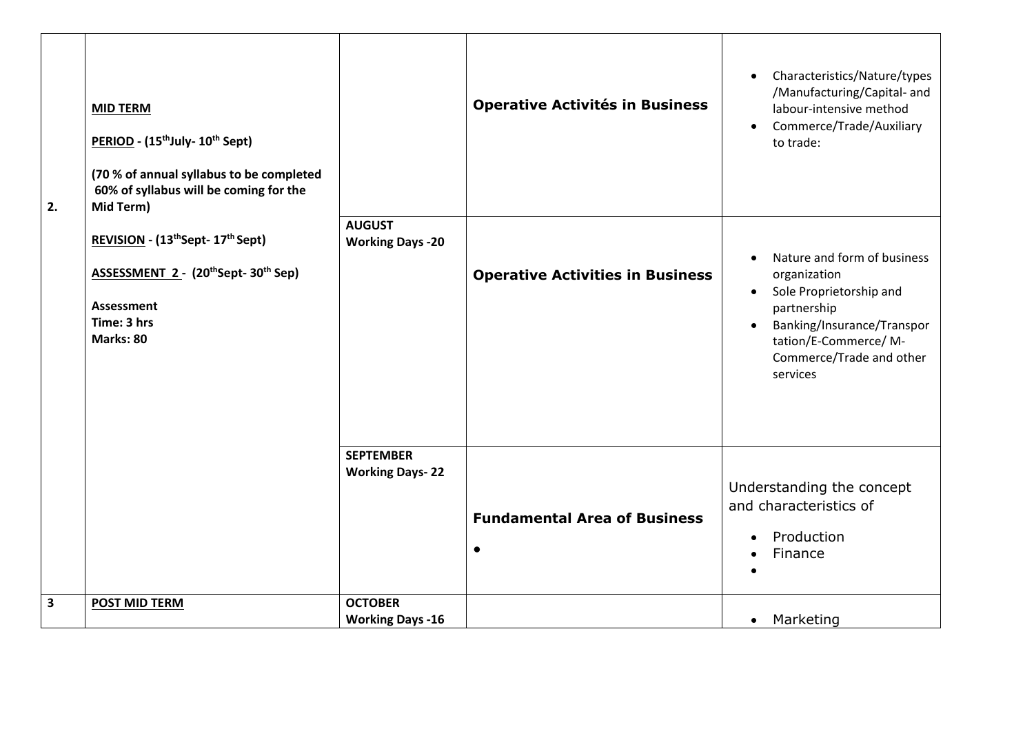| 2.                      | <b>MID TERM</b><br>PERIOD - (15 <sup>th</sup> July- 10 <sup>th</sup> Sept)<br>(70 % of annual syllabus to be completed<br>60% of syllabus will be coming for the<br>Mid Term)<br>REVISION - (13thSept-17th Sept)<br>ASSESSMENT 2 - (20th Sept-30th Sep)<br><b>Assessment</b><br>Time: 3 hrs<br>Marks: 80 |                                            | <b>Operative Activités in Business</b>           | Characteristics/Nature/types<br>$\bullet$<br>/Manufacturing/Capital- and<br>labour-intensive method<br>Commerce/Trade/Auxiliary<br>$\bullet$<br>to trade:                                                      |
|-------------------------|----------------------------------------------------------------------------------------------------------------------------------------------------------------------------------------------------------------------------------------------------------------------------------------------------------|--------------------------------------------|--------------------------------------------------|----------------------------------------------------------------------------------------------------------------------------------------------------------------------------------------------------------------|
|                         |                                                                                                                                                                                                                                                                                                          | <b>AUGUST</b><br><b>Working Days -20</b>   | <b>Operative Activities in Business</b>          | Nature and form of business<br>organization<br>Sole Proprietorship and<br>$\bullet$<br>partnership<br>Banking/Insurance/Transpor<br>$\bullet$<br>tation/E-Commerce/ M-<br>Commerce/Trade and other<br>services |
|                         |                                                                                                                                                                                                                                                                                                          | <b>SEPTEMBER</b><br><b>Working Days-22</b> | <b>Fundamental Area of Business</b><br>$\bullet$ | Understanding the concept<br>and characteristics of<br>Production<br>$\bullet$<br>Finance                                                                                                                      |
| $\overline{\mathbf{3}}$ | <b>POST MID TERM</b>                                                                                                                                                                                                                                                                                     | <b>OCTOBER</b><br><b>Working Days -16</b>  |                                                  | Marketing<br>$\bullet$                                                                                                                                                                                         |